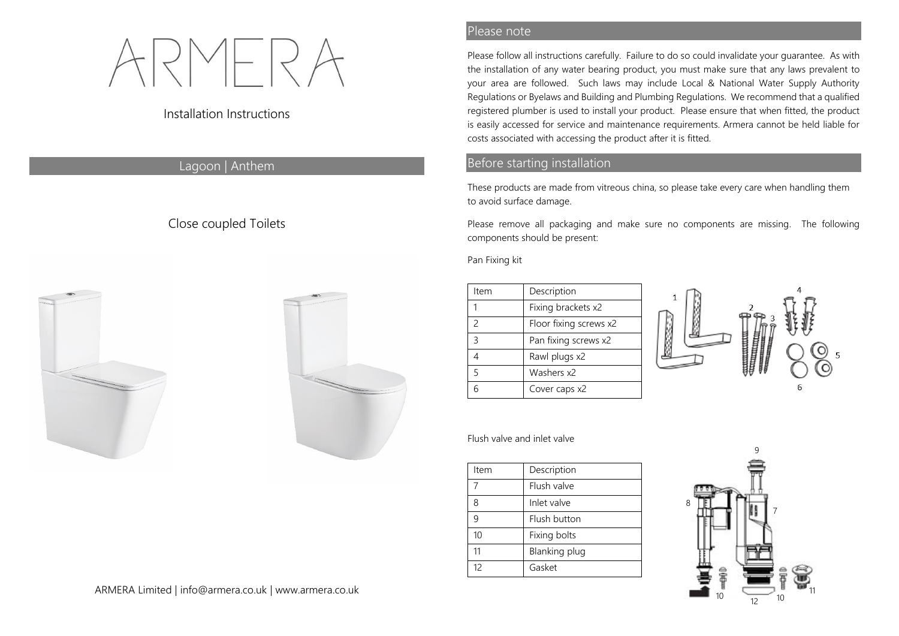# Installation Instructions

## Lagoon | Anthem

# Close coupled Toilets





#### Please note

Please follow all instructions carefully. Failure to do so could invalidate your guarantee. As with the installation of any water bearing product, you must make sure that any laws prevalent to your area are followed. Such laws may include Local & National Water Supply Authority Regulations or Byelaws and Building and Plumbing Regulations. We recommend that a qualified registered plumber is used to install your product. Please ensure that when fitted, the product is easily accessed for service and maintenance requirements. Armera cannot be held liable for costs associated with accessing the product after it is fitted.

### Before starting installation

These products are made from vitreous china, so please take every care when handling them to avoid surface damage.

Please remove all packaging and make sure no components are missing. The following components should be present:

Pan Fixing kit

| Item          | Description            |
|---------------|------------------------|
|               | Fixing brackets x2     |
| $\mathcal{P}$ | Floor fixing screws x2 |
| $\mathcal{R}$ | Pan fixing screws x2   |
|               | Rawl plugs x2          |
| 5             | Washers x2             |
|               | Cover caps x2          |



#### Flush valve and inlet valve

| Item | Description   |
|------|---------------|
| 7    | Flush valve   |
| 8    | Inlet valve   |
| q    | Flush button  |
| 10   | Fixing bolts  |
| 11   | Blanking plug |
| 12   | Gasket        |

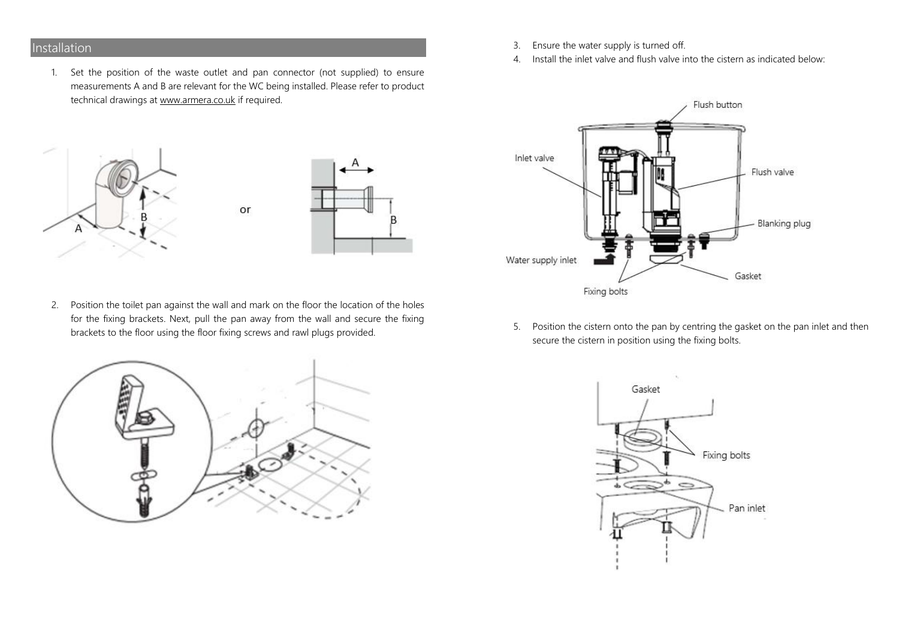# Installation

1. Set the position of the waste outlet and pan connector (not supplied) to ensure measurements A and B are relevant for the WC being installed. Please refer to product technical drawings at www.armera.co.uk if required.





2. Position the toilet pan against the wall and mark on the floor the location of the holes for the fixing brackets. Next, pull the pan away from the wall and secure the fixing brackets to the floor using the floor fixing screws and rawl plugs provided.

or



- 3. Ensure the water supply is turned off.
- 4. Install the inlet valve and flush valve into the cistern as indicated below:



5. Position the cistern onto the pan by centring the gasket on the pan inlet and then secure the cistern in position using the fixing bolts.

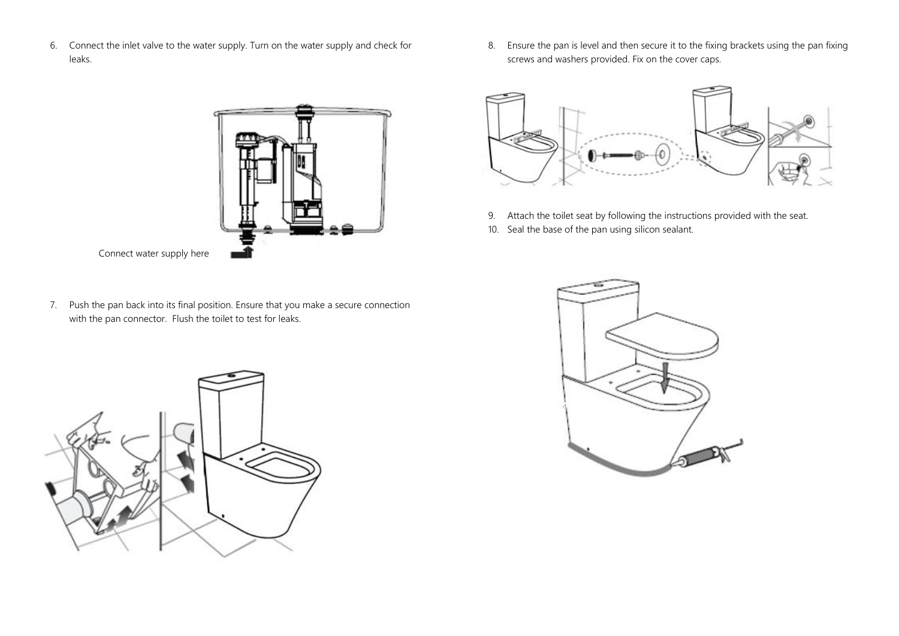6. Connect the inlet valve to the water supply. Turn on the water supply and check for leaks.



- 7. Push the pan back into its final position. Ensure that you make a secure connection with the pan connector. Flush the toilet to test for leaks.
- 

8. Ensure the pan is level and then secure it to the fixing brackets using the pan fixing screws and washers provided. Fix on the cover caps.



- 9. Attach the toilet seat by following the instructions provided with the seat.
- 10. Seal the base of the pan using silicon sealant.